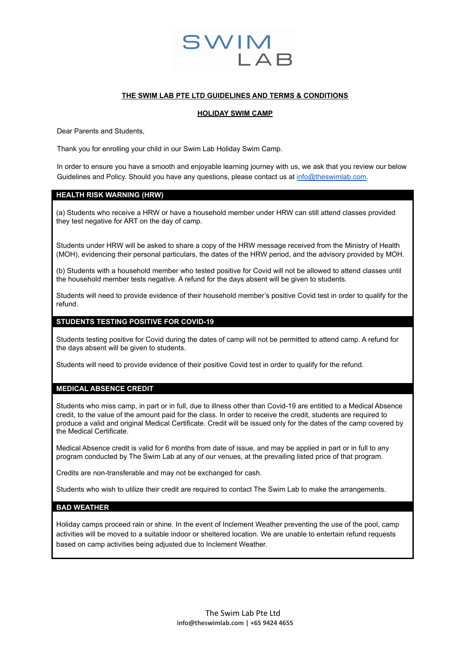

# **THE SWIM LAB PTE LTD GUIDELINES AND TERMS & CONDITIONS**

#### **HOLIDAY SWIM CAMP**

Dear Parents and Students,

Thank you for enrolling your child in our Swim Lab Holiday Swim Camp.

In order to ensure you have a smooth and enjoyable learning journey with us, we ask that you review our below Guidelines and Policy. Should you have any questions, please contact us at [info@theswimlab.com.](mailto:info@theswimlab.com)

### **HEALTH RISK WARNING (HRW)**

(a) Students who receive a HRW or have a household member under HRW can still attend classes provided they test negative for ART on the day of camp.

Students under HRW will be asked to share a copy of the HRW message received from the Ministry of Health (MOH), evidencing their personal particulars, the dates of the HRW period, and the advisory provided by MOH.

(b) Students with a household member who tested positive for Covid will not be allowed to attend classes until the household member tests negative. A refund for the days absent will be given to students.

Students will need to provide evidence of their household member's positive Covid test in order to qualify for the refund.

# **STUDENTS TESTING POSITIVE FOR COVID-19**

Students testing positive for Covid during the dates of camp will not be permitted to attend camp. A refund for the days absent will be given to students.

Students will need to provide evidence of their positive Covid test in order to qualify for the refund.

#### **MEDICAL ABSENCE CREDIT**

Students who miss camp, in part or in full, due to illness other than Covid-19 are entitled to a Medical Absence credit, to the value of the amount paid for the class. In order to receive the credit, students are required to produce a valid and original Medical Certificate. Credit will be issued only for the dates of the camp covered by the Medical Certificate.

Medical Absence credit is valid for 6 months from date of issue, and may be applied in part or in full to any program conducted by The Swim Lab at any of our venues, at the prevailing listed price of that program.

Credits are non-transferable and may not be exchanged for cash.

Students who wish to utilize their credit are required to contact The Swim Lab to make the arrangements.

# **BAD WEATHER**

Holiday camps proceed rain or shine. In the event of Inclement Weather preventing the use of the pool, camp activities will be moved to a suitable indoor or sheltered location. We are unable to entertain refund requests based on camp activities being adjusted due to Inclement Weather.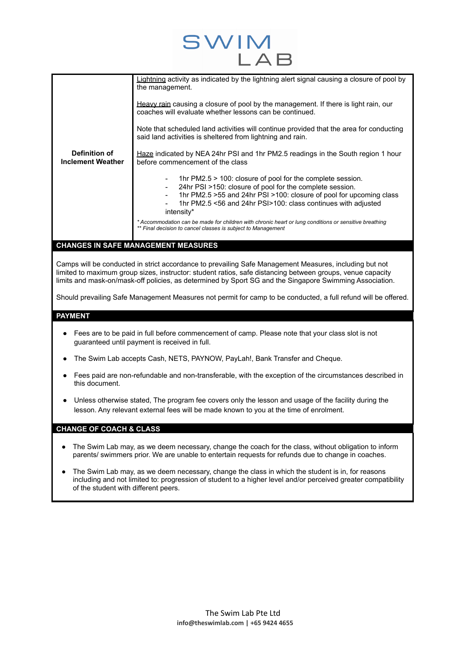|                                           | Lightning activity as indicated by the lightning alert signal causing a closure of pool by<br>the management.                                                                                                                                                                     |
|-------------------------------------------|-----------------------------------------------------------------------------------------------------------------------------------------------------------------------------------------------------------------------------------------------------------------------------------|
|                                           | Heavy rain causing a closure of pool by the management. If there is light rain, our<br>coaches will evaluate whether lessons can be continued.                                                                                                                                    |
|                                           | Note that scheduled land activities will continue provided that the area for conducting<br>said land activities is sheltered from lightning and rain.                                                                                                                             |
| Definition of<br><b>Inclement Weather</b> | Haze indicated by NEA 24hr PSI and 1hr PM2.5 readings in the South region 1 hour<br>before commencement of the class                                                                                                                                                              |
|                                           | 1hr $PM2.5 > 100$ : closure of pool for the complete session.<br>24hr PSI >150: closure of pool for the complete session.<br>1hr PM2.5 > 55 and 24hr PSI > 100: closure of pool for upcoming class<br>1hr PM2.5 <56 and 24hr PSI>100: class continues with adjusted<br>intensity* |
|                                           | * Accommodation can be made for children with chronic heart or lung conditions or sensitive breathing<br>** Final decision to cancel classes is subject to Management                                                                                                             |

 $SWI$ 

# **CHANGES IN SAFE MANAGEMENT MEASURES**

Camps will be conducted in strict accordance to prevailing Safe Management Measures, including but not limited to maximum group sizes, instructor: student ratios, safe distancing between groups, venue capacity limits and mask-on/mask-off policies, as determined by Sport SG and the Singapore Swimming Association.

Should prevailing Safe Management Measures not permit for camp to be conducted, a full refund will be offered.

# **PAYMENT**

- Fees are to be paid in full before commencement of camp. Please note that your class slot is not guaranteed until payment is received in full.
- The Swim Lab accepts Cash, NETS, PAYNOW, PayLah!, Bank Transfer and Cheque.
- Fees paid are non-refundable and non-transferable, with the exception of the circumstances described in this document.
- Unless otherwise stated, The program fee covers only the lesson and usage of the facility during the lesson. Any relevant external fees will be made known to you at the time of enrolment.

# **CHANGE OF COACH & CLASS**

- The Swim Lab may, as we deem necessary, change the coach for the class, without obligation to inform parents/ swimmers prior. We are unable to entertain requests for refunds due to change in coaches.
- The Swim Lab may, as we deem necessary, change the class in which the student is in, for reasons including and not limited to: progression of student to a higher level and/or perceived greater compatibility of the student with different peers.